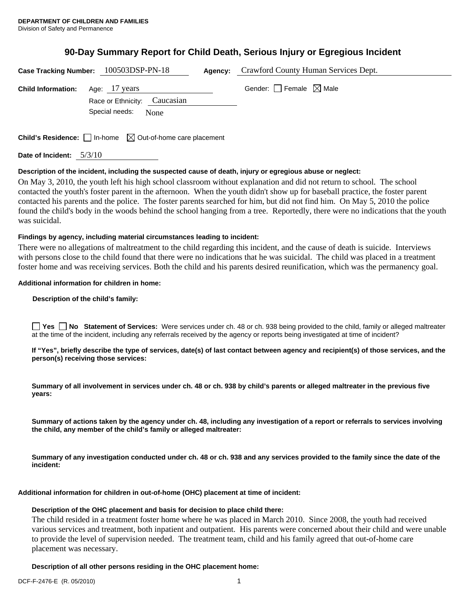# **90-Day Summary Report for Child Death, Serious Injury or Egregious Incident**

|                           | Case Tracking Number: 100503DSP-PN-18                                           | <b>Agency:</b> Crawford County Human Services Dept. |
|---------------------------|---------------------------------------------------------------------------------|-----------------------------------------------------|
| <b>Child Information:</b> | Age: 17 years<br>Race or Ethnicity: Caucasian<br>Special needs:<br>None         | Gender: Female $\boxtimes$ Male                     |
|                           | <b>Child's Residence:</b> $\Box$ In-home $\boxtimes$ Out-of-home care placement |                                                     |

**Date of Incident:** 5/3/10

# **Description of the incident, including the suspected cause of death, injury or egregious abuse or neglect:**

On May 3, 2010, the youth left his high school classroom without explanation and did not return to school. The school contacted the youth's foster parent in the afternoon. When the youth didn't show up for baseball practice, the foster parent contacted his parents and the police. The foster parents searched for him, but did not find him. On May 5, 2010 the police found the child's body in the woods behind the school hanging from a tree. Reportedly, there were no indications that the youth was suicidal.

# **Findings by agency, including material circumstances leading to incident:**

There were no allegations of maltreatment to the child regarding this incident, and the cause of death is suicide. Interviews with persons close to the child found that there were no indications that he was suicidal. The child was placed in a treatment foster home and was receiving services. Both the child and his parents desired reunification, which was the permanency goal.

# **Additional information for children in home:**

#### **Description of the child's family:**

**Yes No** Statement of Services: Were services under ch. 48 or ch. 938 being provided to the child, family or alleged maltreater at the time of the incident, including any referrals received by the agency or reports being investigated at time of incident?

**If "Yes", briefly describe the type of services, date(s) of last contact between agency and recipient(s) of those services, and the person(s) receiving those services:** 

**Summary of all involvement in services under ch. 48 or ch. 938 by child's parents or alleged maltreater in the previous five years:** 

**Summary of actions taken by the agency under ch. 48, including any investigation of a report or referrals to services involving the child, any member of the child's family or alleged maltreater:** 

**Summary of any investigation conducted under ch. 48 or ch. 938 and any services provided to the family since the date of the incident:** 

# **Additional information for children in out-of-home (OHC) placement at time of incident:**

# **Description of the OHC placement and basis for decision to place child there:**

The child resided in a treatment foster home where he was placed in March 2010. Since 2008, the youth had received various services and treatment, both inpatient and outpatient. His parents were concerned about their child and were unable to provide the level of supervision needed. The treatment team, child and his family agreed that out-of-home care placement was necessary.

**Description of all other persons residing in the OHC placement home:**